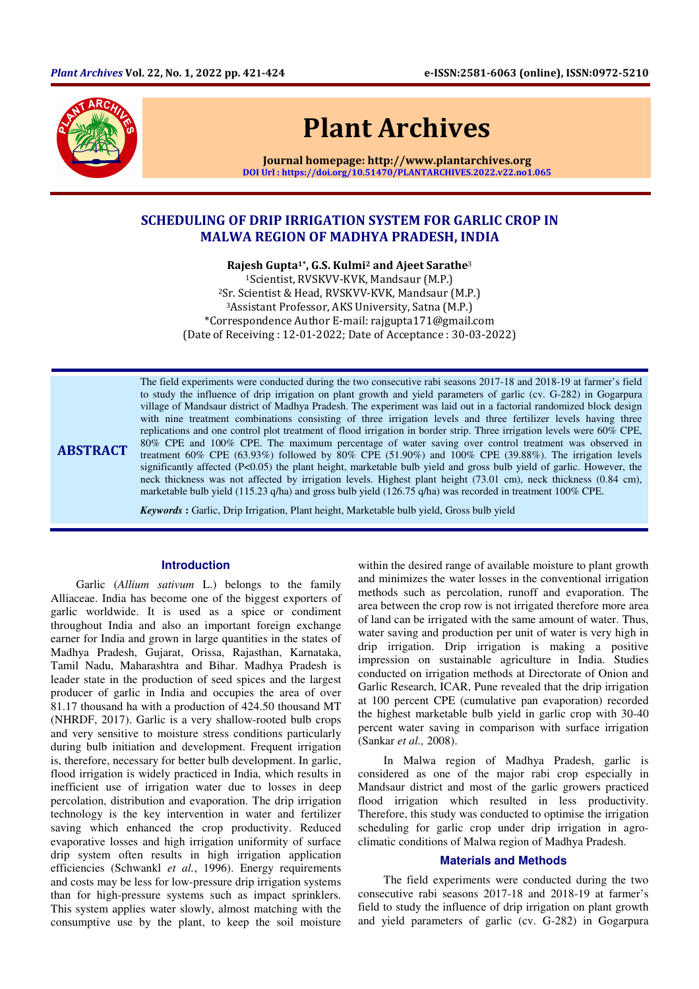

ABSTRACT

# Plant Archives

Journal homepage: http://www.plantarchives.org DOI Url : https://doi.org/10.51470/PLANTARCHIVES.2022.v22.no1.065

# SCHEDULING OF DRIP IRRIGATION SYSTEM FOR GARLIC CROP IN MALWA REGION OF MADHYA PRADESH, INDIA

Rajesh Gupta1\*, G.S. Kulmi2 and Ajeet Sarathe<sup>3</sup> <sup>1</sup>Scientist, RVSKVV-KVK, Mandsaur (M.P.) <sup>2</sup>Sr. Scientist & Head, RVSKVV-KVK, Mandsaur (M.P.) <sup>3</sup>Assistant Professor, AKS University, Satna (M.P.) \*Correspondence Author E-mail: rajgupta171@gmail.com (Date of Receiving : 12-01-2022; Date of Acceptance : 30-03-2022)

The field experiments were conducted during the two consecutive rabi seasons 2017-18 and 2018-19 at farmer's field to study the influence of drip irrigation on plant growth and yield parameters of garlic (cv. G-282) in Gogarpura village of Mandsaur district of Madhya Pradesh. The experiment was laid out in a factorial randomized block design with nine treatment combinations consisting of three irrigation levels and three fertilizer levels having three replications and one control plot treatment of flood irrigation in border strip. Three irrigation levels were 60% CPE, 80% CPE and 100% CPE. The maximum percentage of water saving over control treatment was observed in treatment 60% CPE (63.93%) followed by 80% CPE (51.90%) and 100% CPE (39.88%). The irrigation levels significantly affected (P<0.05) the plant height, marketable bulb yield and gross bulb yield of garlic. However, the neck thickness was not affected by irrigation levels. Highest plant height (73.01 cm), neck thickness (0.84 cm), marketable bulb yield (115.23 q/ha) and gross bulb yield (126.75 q/ha) was recorded in treatment 100% CPE.

*Keywords* **:** Garlic, Drip Irrigation, Plant height, Marketable bulb yield, Gross bulb yield

### **Introduction**

Garlic (*Allium sativum* L.) belongs to the family Alliaceae. India has become one of the biggest exporters of garlic worldwide. It is used as a spice or condiment throughout India and also an important foreign exchange earner for India and grown in large quantities in the states of Madhya Pradesh, Gujarat, Orissa, Rajasthan, Karnataka, Tamil Nadu, Maharashtra and Bihar. Madhya Pradesh is leader state in the production of seed spices and the largest producer of garlic in India and occupies the area of over 81.17 thousand ha with a production of 424.50 thousand MT (NHRDF, 2017). Garlic is a very shallow-rooted bulb crops and very sensitive to moisture stress conditions particularly during bulb initiation and development. Frequent irrigation is, therefore, necessary for better bulb development. In garlic, flood irrigation is widely practiced in India, which results in inefficient use of irrigation water due to losses in deep percolation, distribution and evaporation. The drip irrigation technology is the key intervention in water and fertilizer saving which enhanced the crop productivity. Reduced evaporative losses and high irrigation uniformity of surface drip system often results in high irrigation application efficiencies (Schwankl *et al.*, 1996). Energy requirements and costs may be less for low-pressure drip irrigation systems than for high-pressure systems such as impact sprinklers. This system applies water slowly, almost matching with the consumptive use by the plant, to keep the soil moisture

within the desired range of available moisture to plant growth and minimizes the water losses in the conventional irrigation methods such as percolation, runoff and evaporation. The area between the crop row is not irrigated therefore more area of land can be irrigated with the same amount of water. Thus, water saving and production per unit of water is very high in drip irrigation. Drip irrigation is making a positive impression on sustainable agriculture in India. Studies conducted on irrigation methods at Directorate of Onion and Garlic Research, ICAR, Pune revealed that the drip irrigation at 100 percent CPE (cumulative pan evaporation) recorded the highest marketable bulb yield in garlic crop with 30-40 percent water saving in comparison with surface irrigation (Sankar *et al.,* 2008).

In Malwa region of Madhya Pradesh, garlic is considered as one of the major rabi crop especially in Mandsaur district and most of the garlic growers practiced flood irrigation which resulted in less productivity. Therefore, this study was conducted to optimise the irrigation scheduling for garlic crop under drip irrigation in agroclimatic conditions of Malwa region of Madhya Pradesh.

#### **Materials and Methods**

The field experiments were conducted during the two consecutive rabi seasons 2017-18 and 2018-19 at farmer's field to study the influence of drip irrigation on plant growth and yield parameters of garlic (cv. G-282) in Gogarpura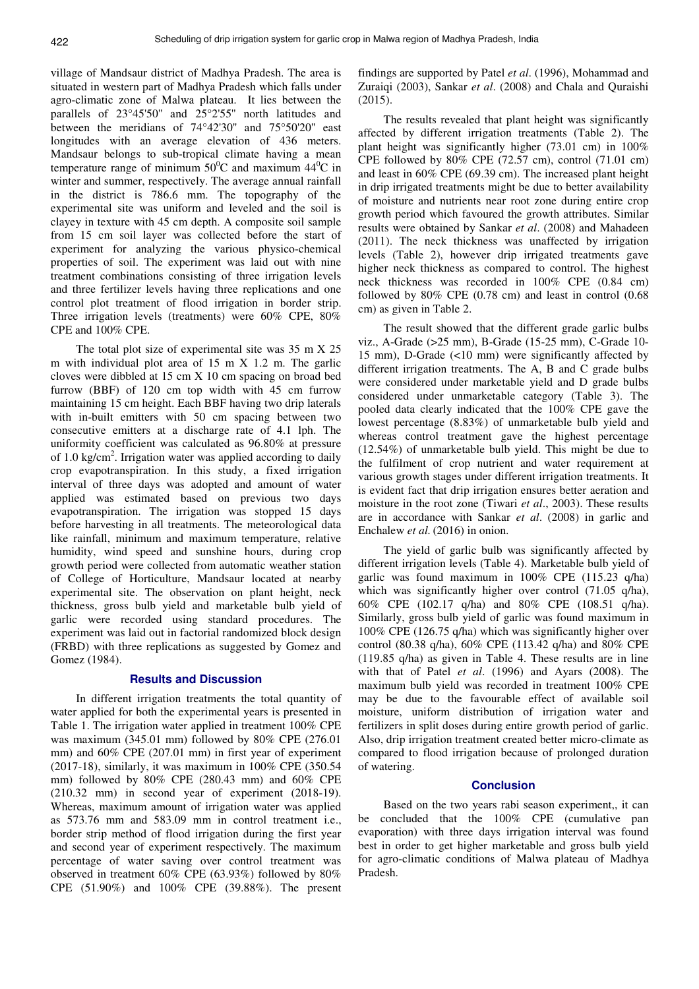village of Mandsaur district of Madhya Pradesh. The area is situated in western part of Madhya Pradesh which falls under agro-climatic zone of Malwa plateau. It lies between the parallels of 23°45'50'' and 25°2'55'' north latitudes and between the meridians of 74°42'30'' and 75°50'20'' east longitudes with an average elevation of 436 meters. Mandsaur belongs to sub-tropical climate having a mean temperature range of minimum  $50^{\circ}$ C and maximum  $44^{\circ}$ C in winter and summer, respectively. The average annual rainfall in the district is 786.6 mm. The topography of the experimental site was uniform and leveled and the soil is clayey in texture with 45 cm depth. A composite soil sample from 15 cm soil layer was collected before the start of experiment for analyzing the various physico-chemical properties of soil. The experiment was laid out with nine treatment combinations consisting of three irrigation levels and three fertilizer levels having three replications and one control plot treatment of flood irrigation in border strip. Three irrigation levels (treatments) were 60% CPE, 80% CPE and 100% CPE.

The total plot size of experimental site was 35 m X 25 m with individual plot area of 15 m X 1.2 m. The garlic cloves were dibbled at 15 cm X 10 cm spacing on broad bed furrow (BBF) of 120 cm top width with 45 cm furrow maintaining 15 cm height. Each BBF having two drip laterals with in-built emitters with 50 cm spacing between two consecutive emitters at a discharge rate of 4.1 lph. The uniformity coefficient was calculated as 96.80% at pressure of 1.0 kg/cm<sup>2</sup>. Irrigation water was applied according to daily crop evapotranspiration. In this study, a fixed irrigation interval of three days was adopted and amount of water applied was estimated based on previous two days evapotranspiration. The irrigation was stopped 15 days before harvesting in all treatments. The meteorological data like rainfall, minimum and maximum temperature, relative humidity, wind speed and sunshine hours, during crop growth period were collected from automatic weather station of College of Horticulture, Mandsaur located at nearby experimental site. The observation on plant height, neck thickness, gross bulb yield and marketable bulb yield of garlic were recorded using standard procedures. The experiment was laid out in factorial randomized block design (FRBD) with three replications as suggested by Gomez and Gomez (1984).

# **Results and Discussion**

In different irrigation treatments the total quantity of water applied for both the experimental years is presented in Table 1. The irrigation water applied in treatment 100% CPE was maximum (345.01 mm) followed by 80% CPE (276.01 mm) and 60% CPE (207.01 mm) in first year of experiment (2017-18), similarly, it was maximum in 100% CPE (350.54 mm) followed by 80% CPE (280.43 mm) and 60% CPE (210.32 mm) in second year of experiment (2018-19). Whereas, maximum amount of irrigation water was applied as 573.76 mm and 583.09 mm in control treatment i.e., border strip method of flood irrigation during the first year and second year of experiment respectively. The maximum percentage of water saving over control treatment was observed in treatment 60% CPE (63.93%) followed by 80% CPE (51.90%) and 100% CPE (39.88%). The present

findings are supported by Patel *et al*. (1996), Mohammad and Zuraiqi (2003), Sankar *et al*. (2008) and Chala and Quraishi (2015).

The results revealed that plant height was significantly affected by different irrigation treatments (Table 2). The plant height was significantly higher (73.01 cm) in 100% CPE followed by 80% CPE (72.57 cm), control (71.01 cm) and least in 60% CPE (69.39 cm). The increased plant height in drip irrigated treatments might be due to better availability of moisture and nutrients near root zone during entire crop growth period which favoured the growth attributes. Similar results were obtained by Sankar *et al*. (2008) and Mahadeen (2011). The neck thickness was unaffected by irrigation levels (Table 2), however drip irrigated treatments gave higher neck thickness as compared to control. The highest neck thickness was recorded in 100% CPE (0.84 cm) followed by 80% CPE (0.78 cm) and least in control (0.68 cm) as given in Table 2.

The result showed that the different grade garlic bulbs viz., A-Grade (>25 mm), B-Grade (15-25 mm), C-Grade 10- 15 mm), D-Grade (<10 mm) were significantly affected by different irrigation treatments. The A, B and C grade bulbs were considered under marketable yield and D grade bulbs considered under unmarketable category (Table 3). The pooled data clearly indicated that the 100% CPE gave the lowest percentage (8.83%) of unmarketable bulb yield and whereas control treatment gave the highest percentage (12.54%) of unmarketable bulb yield. This might be due to the fulfilment of crop nutrient and water requirement at various growth stages under different irrigation treatments. It is evident fact that drip irrigation ensures better aeration and moisture in the root zone (Tiwari *et al*., 2003). These results are in accordance with Sankar *et al*. (2008) in garlic and Enchalew *et al.* (2016) in onion.

The yield of garlic bulb was significantly affected by different irrigation levels (Table 4). Marketable bulb yield of garlic was found maximum in 100% CPE (115.23 q/ha) which was significantly higher over control (71.05 q/ha), 60% CPE (102.17 q/ha) and 80% CPE (108.51 q/ha). Similarly, gross bulb yield of garlic was found maximum in 100% CPE (126.75 q/ha) which was significantly higher over control (80.38 q/ha), 60% CPE (113.42 q/ha) and 80% CPE (119.85 q/ha) as given in Table 4. These results are in line with that of Patel *et al*. (1996) and Ayars (2008). The maximum bulb yield was recorded in treatment 100% CPE may be due to the favourable effect of available soil moisture, uniform distribution of irrigation water and fertilizers in split doses during entire growth period of garlic. Also, drip irrigation treatment created better micro-climate as compared to flood irrigation because of prolonged duration of watering.

#### **Conclusion**

Based on the two years rabi season experiment,, it can be concluded that the 100% CPE (cumulative pan evaporation) with three days irrigation interval was found best in order to get higher marketable and gross bulb yield for agro-climatic conditions of Malwa plateau of Madhya Pradesh.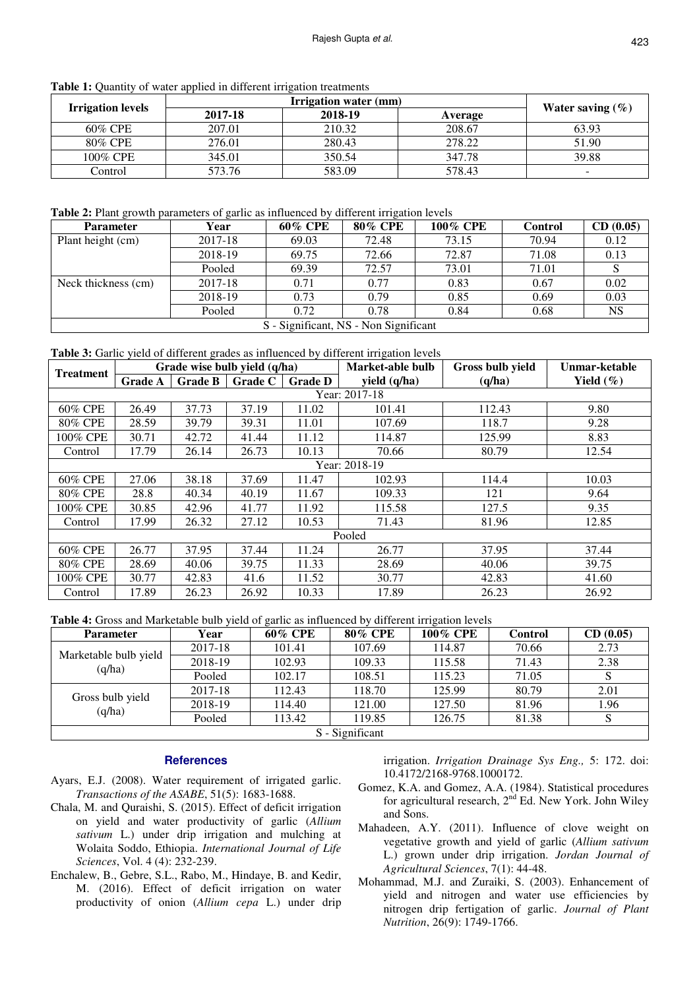Table 1: Quantity of water applied in different irrigation treatments

| <b>Irrigation levels</b> |         |         |         |                      |
|--------------------------|---------|---------|---------|----------------------|
|                          | 2017-18 | 2018-19 | Average | Water saving $(\% )$ |
| 60% CPE                  | 207.01  | 210.32  | 208.67  | 63.93                |
| 80% CPE                  | 276.01  | 280.43  | 278.22  | 51.90                |
| 100% CPE                 | 345.01  | 350.54  | 347.78  | 39.88                |
| Control                  | 573.76  | 583.09  | 578.43  | -                    |

**Table 2:** Plant growth parameters of garlic as influenced by different irrigation levels

| <b>Parameter</b>                      | Year    | 60% CPE | <b>80% CPE</b> | <b>100% CPE</b> | <b>Control</b> | CD(0.05)  |
|---------------------------------------|---------|---------|----------------|-----------------|----------------|-----------|
| Plant height (cm)                     | 2017-18 | 69.03   | 72.48          | 73.15           | 70.94          | 0.12      |
|                                       | 2018-19 | 69.75   | 72.66          | 72.87           | 71.08          | 0.13      |
|                                       | Pooled  | 69.39   | 72.57          | 73.01           | 71.01          |           |
| Neck thickness (cm)                   | 2017-18 | 0.71    | 0.77           | 0.83            | 0.67           | 0.02      |
|                                       | 2018-19 | 0.73    | 0.79           | 0.85            | 0.69           | 0.03      |
|                                       | Pooled  | 0.72    | 0.78           | 0.84            | 0.68           | <b>NS</b> |
| S - Significant, NS - Non Significant |         |         |                |                 |                |           |

**Table 3:** Garlic yield of different grades as influenced by different irrigation levels

| <b>Treatment</b> |                |           | Grade wise bulb yield (q/ha) |                | Market-able bulb | Gross bulb yield | Unmar-ketable |  |  |
|------------------|----------------|-----------|------------------------------|----------------|------------------|------------------|---------------|--|--|
|                  | <b>Grade A</b> | Grade $B$ | <b>Grade C</b>               | <b>Grade D</b> | yield (q/ha)     | (q/ha)           | Yield $(\% )$ |  |  |
| Year: 2017-18    |                |           |                              |                |                  |                  |               |  |  |
| 60% CPE          | 26.49          | 37.73     | 37.19                        | 11.02          | 101.41           | 112.43           | 9.80          |  |  |
| 80% CPE          | 28.59          | 39.79     | 39.31                        | 11.01          | 107.69           | 118.7            | 9.28          |  |  |
| 100% CPE         | 30.71          | 42.72     | 41.44                        | 11.12          | 114.87           | 125.99           | 8.83          |  |  |
| Control          | 17.79          | 26.14     | 26.73                        | 10.13          | 70.66            | 80.79            | 12.54         |  |  |
| Year: 2018-19    |                |           |                              |                |                  |                  |               |  |  |
| 60% CPE          | 27.06          | 38.18     | 37.69                        | 11.47          | 102.93           | 114.4            | 10.03         |  |  |
| 80% CPE          | 28.8           | 40.34     | 40.19                        | 11.67          | 109.33           | 121              | 9.64          |  |  |
| 100% CPE         | 30.85          | 42.96     | 41.77                        | 11.92          | 115.58           | 127.5            | 9.35          |  |  |
| Control          | 17.99          | 26.32     | 27.12                        | 10.53          | 71.43            | 81.96            | 12.85         |  |  |
| Pooled           |                |           |                              |                |                  |                  |               |  |  |
| 60% CPE          | 26.77          | 37.95     | 37.44                        | 11.24          | 26.77            | 37.95            | 37.44         |  |  |
| 80% CPE          | 28.69          | 40.06     | 39.75                        | 11.33          | 28.69            | 40.06            | 39.75         |  |  |
| 100% CPE         | 30.77          | 42.83     | 41.6                         | 11.52          | 30.77            | 42.83            | 41.60         |  |  |
| Control          | 17.89          | 26.23     | 26.92                        | 10.33          | 17.89            | 26.23            | 26.92         |  |  |

**Table 4:** Gross and Marketable bulb yield of garlic as influenced by different irrigation levels

| <b>Parameter</b>                | Year    | 60% CPE | 80% CPE | 100% CPE | <b>Control</b> | CD(0.05) |  |
|---------------------------------|---------|---------|---------|----------|----------------|----------|--|
| Marketable bulb yield<br>(q/ha) | 2017-18 | 101.41  | 107.69  | 114.87   | 70.66          | 2.73     |  |
|                                 | 2018-19 | 102.93  | 109.33  | 115.58   | 71.43          | 2.38     |  |
|                                 | Pooled  | 102.17  | 108.51  | 115.23   | 71.05          | S        |  |
| Gross bulb yield<br>(q/ha)      | 2017-18 | 112.43  | 118.70  | 125.99   | 80.79          | 2.01     |  |
|                                 | 2018-19 | 114.40  | 121.00  | 127.50   | 81.96          | 1.96     |  |
|                                 | Pooled  | 113.42  | 119.85  | 126.75   | 81.38          |          |  |
| S - Significant                 |         |         |         |          |                |          |  |

## **References**

- Ayars, E.J. (2008). Water requirement of irrigated garlic. *Transactions of the ASABE*, 51(5): 1683-1688.
- Chala, M. and Quraishi, S. (2015). Effect of deficit irrigation on yield and water productivity of garlic (*Allium sativum* L.) under drip irrigation and mulching at Wolaita Soddo, Ethiopia. *International Journal of Life Sciences*, Vol. 4 (4): 232-239.
- Enchalew, B., Gebre, S.L., Rabo, M., Hindaye, B. and Kedir, M. (2016). Effect of deficit irrigation on water productivity of onion (*Allium cepa* L.) under drip

irrigation. *Irrigation Drainage Sys Eng.,* 5: 172. doi: 10.4172/2168-9768.1000172.

- Gomez, K.A. and Gomez, A.A. (1984). Statistical procedures for agricultural research,  $2<sup>nd</sup>$  Ed. New York. John Wiley and Sons.
- Mahadeen, A.Y. (2011). Influence of clove weight on vegetative growth and yield of garlic (*Allium sativum* L.) grown under drip irrigation. *Jordan Journal of Agricultural Sciences*, 7(1): 44-48.
- Mohammad, M.J. and Zuraiki, S. (2003). Enhancement of yield and nitrogen and water use efficiencies by nitrogen drip fertigation of garlic. *Journal of Plant Nutrition*, 26(9): 1749-1766.